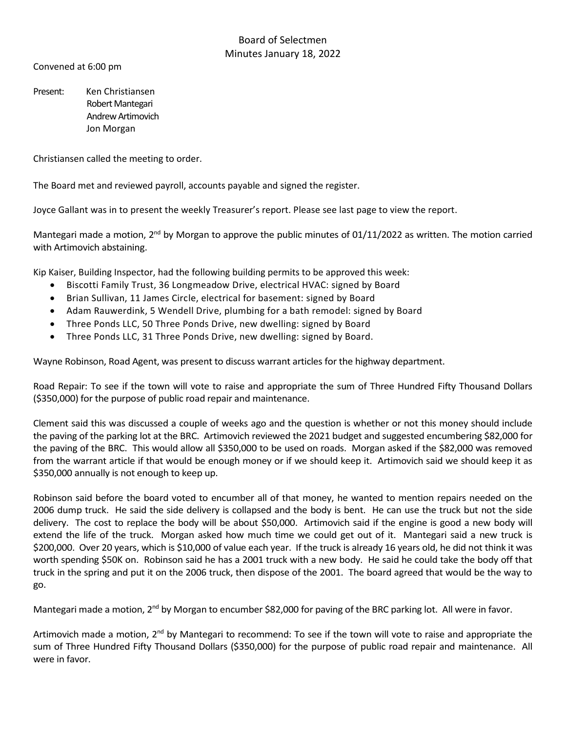## Board of Selectmen Minutes January 18, 2022

Convened at 6:00 pm

Present: Ken Christiansen Robert Mantegari Andrew Artimovich Jon Morgan

Christiansen called the meeting to order.

The Board met and reviewed payroll, accounts payable and signed the register.

Joyce Gallant was in to present the weekly Treasurer's report. Please see last page to view the report.

Mantegari made a motion,  $2^{nd}$  by Morgan to approve the public minutes of 01/11/2022 as written. The motion carried with Artimovich abstaining.

Kip Kaiser, Building Inspector, had the following building permits to be approved this week:

- Biscotti Family Trust, 36 Longmeadow Drive, electrical HVAC: signed by Board
- Brian Sullivan, 11 James Circle, electrical for basement: signed by Board
- Adam Rauwerdink, 5 Wendell Drive, plumbing for a bath remodel: signed by Board
- Three Ponds LLC, 50 Three Ponds Drive, new dwelling: signed by Board
- Three Ponds LLC, 31 Three Ponds Drive, new dwelling: signed by Board.

Wayne Robinson, Road Agent, was present to discuss warrant articles for the highway department.

Road Repair: To see if the town will vote to raise and appropriate the sum of Three Hundred Fifty Thousand Dollars (\$350,000) for the purpose of public road repair and maintenance.

Clement said this was discussed a couple of weeks ago and the question is whether or not this money should include the paving of the parking lot at the BRC. Artimovich reviewed the 2021 budget and suggested encumbering \$82,000 for the paving of the BRC. This would allow all \$350,000 to be used on roads. Morgan asked if the \$82,000 was removed from the warrant article if that would be enough money or if we should keep it. Artimovich said we should keep it as \$350,000 annually is not enough to keep up.

Robinson said before the board voted to encumber all of that money, he wanted to mention repairs needed on the 2006 dump truck. He said the side delivery is collapsed and the body is bent. He can use the truck but not the side delivery. The cost to replace the body will be about \$50,000. Artimovich said if the engine is good a new body will extend the life of the truck. Morgan asked how much time we could get out of it. Mantegari said a new truck is \$200,000. Over 20 years, which is \$10,000 of value each year. If the truck is already 16 years old, he did not think it was worth spending \$50K on. Robinson said he has a 2001 truck with a new body. He said he could take the body off that truck in the spring and put it on the 2006 truck, then dispose of the 2001. The board agreed that would be the way to go.

Mantegari made a motion, 2<sup>nd</sup> by Morgan to encumber \$82,000 for paving of the BRC parking lot. All were in favor.

Artimovich made a motion, 2<sup>nd</sup> by Mantegari to recommend: To see if the town will vote to raise and appropriate the sum of Three Hundred Fifty Thousand Dollars (\$350,000) for the purpose of public road repair and maintenance. All were in favor.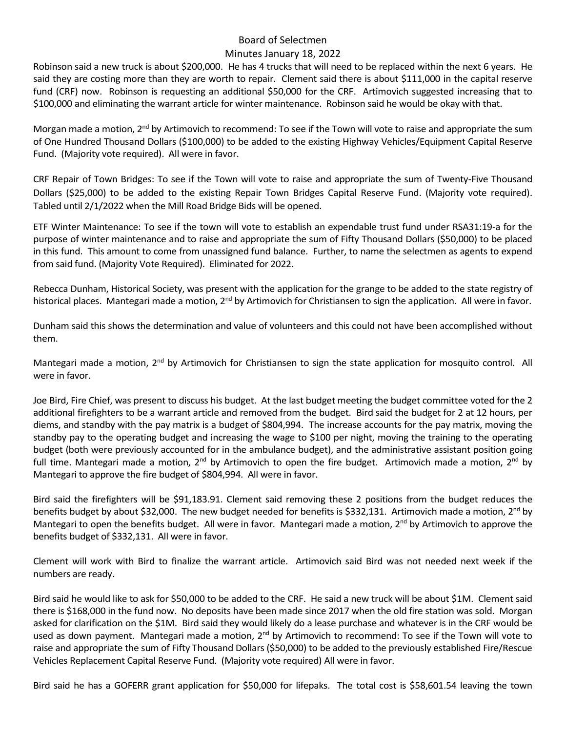## Board of Selectmen

### Minutes January 18, 2022

Robinson said a new truck is about \$200,000. He has 4 trucks that will need to be replaced within the next 6 years. He said they are costing more than they are worth to repair. Clement said there is about \$111,000 in the capital reserve fund (CRF) now. Robinson is requesting an additional \$50,000 for the CRF. Artimovich suggested increasing that to \$100,000 and eliminating the warrant article for winter maintenance. Robinson said he would be okay with that.

Morgan made a motion,  $2^{nd}$  by Artimovich to recommend: To see if the Town will vote to raise and appropriate the sum of One Hundred Thousand Dollars (\$100,000) to be added to the existing Highway Vehicles/Equipment Capital Reserve Fund. (Majority vote required). All were in favor.

CRF Repair of Town Bridges: To see if the Town will vote to raise and appropriate the sum of Twenty-Five Thousand Dollars (\$25,000) to be added to the existing Repair Town Bridges Capital Reserve Fund. (Majority vote required). Tabled until 2/1/2022 when the Mill Road Bridge Bids will be opened.

ETF Winter Maintenance: To see if the town will vote to establish an expendable trust fund under RSA31:19-a for the purpose of winter maintenance and to raise and appropriate the sum of Fifty Thousand Dollars (\$50,000) to be placed in this fund. This amount to come from unassigned fund balance. Further, to name the selectmen as agents to expend from said fund. (Majority Vote Required). Eliminated for 2022.

Rebecca Dunham, Historical Society, was present with the application for the grange to be added to the state registry of historical places. Mantegari made a motion, 2<sup>nd</sup> by Artimovich for Christiansen to sign the application. All were in favor.

Dunham said this shows the determination and value of volunteers and this could not have been accomplished without them.

Mantegari made a motion, 2<sup>nd</sup> by Artimovich for Christiansen to sign the state application for mosquito control. All were in favor.

Joe Bird, Fire Chief, was present to discuss his budget. At the last budget meeting the budget committee voted for the 2 additional firefighters to be a warrant article and removed from the budget. Bird said the budget for 2 at 12 hours, per diems, and standby with the pay matrix is a budget of \$804,994. The increase accounts for the pay matrix, moving the standby pay to the operating budget and increasing the wage to \$100 per night, moving the training to the operating budget (both were previously accounted for in the ambulance budget), and the administrative assistant position going full time. Mantegari made a motion,  $2^{nd}$  by Artimovich to open the fire budget. Artimovich made a motion,  $2^{nd}$  by Mantegari to approve the fire budget of \$804,994. All were in favor.

Bird said the firefighters will be \$91,183.91. Clement said removing these 2 positions from the budget reduces the benefits budget by about \$32,000. The new budget needed for benefits is \$332,131. Artimovich made a motion,  $2^{nd}$  by Mantegari to open the benefits budget. All were in favor. Mantegari made a motion,  $2^{nd}$  by Artimovich to approve the benefits budget of \$332,131. All were in favor.

Clement will work with Bird to finalize the warrant article. Artimovich said Bird was not needed next week if the numbers are ready.

Bird said he would like to ask for \$50,000 to be added to the CRF. He said a new truck will be about \$1M. Clement said there is \$168,000 in the fund now. No deposits have been made since 2017 when the old fire station was sold. Morgan asked for clarification on the \$1M. Bird said they would likely do a lease purchase and whatever is in the CRF would be used as down payment. Mantegari made a motion, 2<sup>nd</sup> by Artimovich to recommend: To see if the Town will vote to raise and appropriate the sum of Fifty Thousand Dollars (\$50,000) to be added to the previously established Fire/Rescue Vehicles Replacement Capital Reserve Fund. (Majority vote required) All were in favor.

Bird said he has a GOFERR grant application for \$50,000 for lifepaks. The total cost is \$58,601.54 leaving the town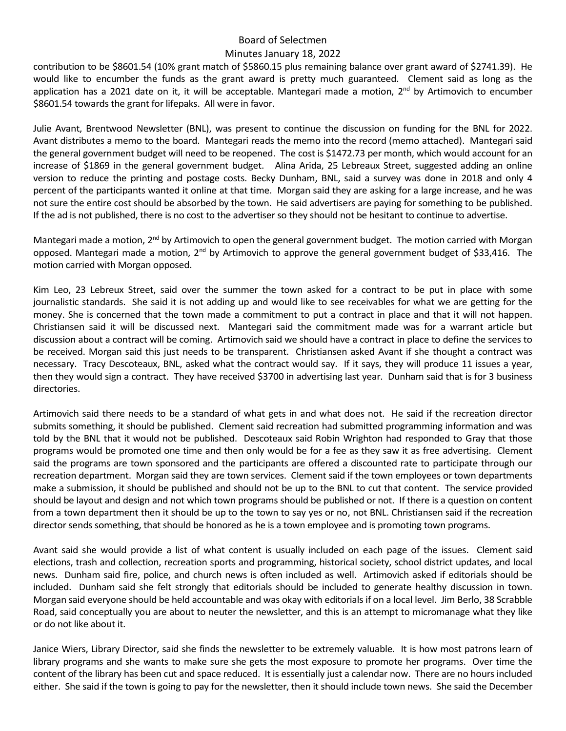### Board of Selectmen

#### Minutes January 18, 2022

contribution to be \$8601.54 (10% grant match of \$5860.15 plus remaining balance over grant award of \$2741.39). He would like to encumber the funds as the grant award is pretty much guaranteed. Clement said as long as the application has a 2021 date on it, it will be acceptable. Mantegari made a motion, 2<sup>nd</sup> by Artimovich to encumber \$8601.54 towards the grant for lifepaks. All were in favor.

Julie Avant, Brentwood Newsletter (BNL), was present to continue the discussion on funding for the BNL for 2022. Avant distributes a memo to the board. Mantegari reads the memo into the record (memo attached). Mantegari said the general government budget will need to be reopened. The cost is \$1472.73 per month, which would account for an increase of \$1869 in the general government budget. Alina Arida, 25 Lebreaux Street, suggested adding an online version to reduce the printing and postage costs. Becky Dunham, BNL, said a survey was done in 2018 and only 4 percent of the participants wanted it online at that time. Morgan said they are asking for a large increase, and he was not sure the entire cost should be absorbed by the town. He said advertisers are paying for something to be published. If the ad is not published, there is no cost to the advertiser so they should not be hesitant to continue to advertise.

Mantegari made a motion, 2<sup>nd</sup> by Artimovich to open the general government budget. The motion carried with Morgan opposed. Mantegari made a motion, 2<sup>nd</sup> by Artimovich to approve the general government budget of \$33,416. The motion carried with Morgan opposed.

Kim Leo, 23 Lebreux Street, said over the summer the town asked for a contract to be put in place with some journalistic standards. She said it is not adding up and would like to see receivables for what we are getting for the money. She is concerned that the town made a commitment to put a contract in place and that it will not happen. Christiansen said it will be discussed next. Mantegari said the commitment made was for a warrant article but discussion about a contract will be coming. Artimovich said we should have a contract in place to define the services to be received. Morgan said this just needs to be transparent. Christiansen asked Avant if she thought a contract was necessary. Tracy Descoteaux, BNL, asked what the contract would say. If it says, they will produce 11 issues a year, then they would sign a contract. They have received \$3700 in advertising last year. Dunham said that is for 3 business directories.

Artimovich said there needs to be a standard of what gets in and what does not. He said if the recreation director submits something, it should be published. Clement said recreation had submitted programming information and was told by the BNL that it would not be published. Descoteaux said Robin Wrighton had responded to Gray that those programs would be promoted one time and then only would be for a fee as they saw it as free advertising. Clement said the programs are town sponsored and the participants are offered a discounted rate to participate through our recreation department. Morgan said they are town services. Clement said if the town employees or town departments make a submission, it should be published and should not be up to the BNL to cut that content. The service provided should be layout and design and not which town programs should be published or not. If there is a question on content from a town department then it should be up to the town to say yes or no, not BNL. Christiansen said if the recreation director sends something, that should be honored as he is a town employee and is promoting town programs.

Avant said she would provide a list of what content is usually included on each page of the issues. Clement said elections, trash and collection, recreation sports and programming, historical society, school district updates, and local news. Dunham said fire, police, and church news is often included as well. Artimovich asked if editorials should be included. Dunham said she felt strongly that editorials should be included to generate healthy discussion in town. Morgan said everyone should be held accountable and was okay with editorials if on a local level. Jim Berlo, 38 Scrabble Road, said conceptually you are about to neuter the newsletter, and this is an attempt to micromanage what they like or do not like about it.

Janice Wiers, Library Director, said she finds the newsletter to be extremely valuable. It is how most patrons learn of library programs and she wants to make sure she gets the most exposure to promote her programs. Over time the content of the library has been cut and space reduced. It is essentially just a calendar now. There are no hours included either. She said if the town is going to pay for the newsletter, then it should include town news. She said the December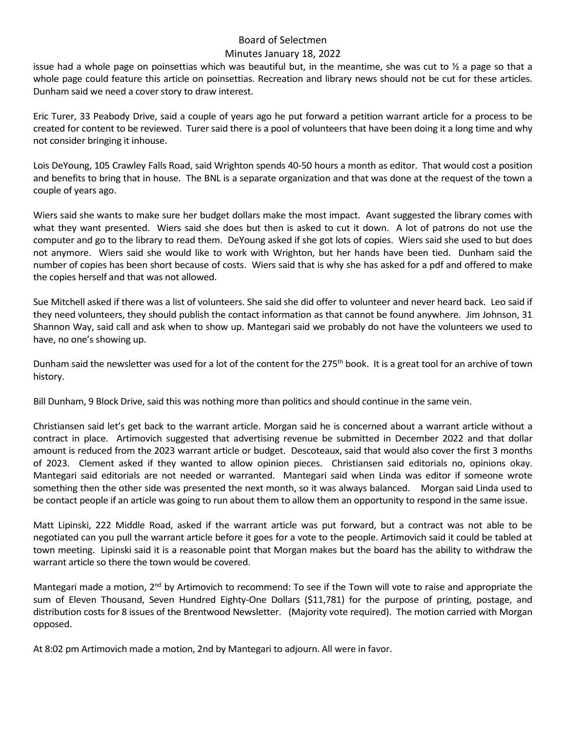### Board of Selectmen

#### Minutes January 18, 2022

issue had a whole page on poinsettias which was beautiful but, in the meantime, she was cut to  $\frac{1}{2}$  a page so that a whole page could feature this article on poinsettias. Recreation and library news should not be cut for these articles. Dunham said we need a cover story to draw interest.

Eric Turer, 33 Peabody Drive, said a couple of years ago he put forward a petition warrant article for a process to be created for content to be reviewed. Turersaid there is a pool of volunteers that have been doing it a long time and why not consider bringing it inhouse.

Lois DeYoung, 105 Crawley Falls Road, said Wrighton spends 40-50 hours a month as editor. That would cost a position and benefits to bring that in house. The BNL is a separate organization and that was done at the request of the town a couple of years ago.

Wiers said she wants to make sure her budget dollars make the most impact. Avant suggested the library comes with what they want presented. Wiers said she does but then is asked to cut it down. A lot of patrons do not use the computer and go to the library to read them. DeYoung asked if she got lots of copies. Wiers said she used to but does not anymore. Wiers said she would like to work with Wrighton, but her hands have been tied. Dunham said the number of copies has been short because of costs. Wiers said that is why she has asked for a pdf and offered to make the copies herself and that was not allowed.

Sue Mitchell asked if there was a list of volunteers. She said she did offer to volunteer and never heard back. Leo said if they need volunteers, they should publish the contact information as that cannot be found anywhere. Jim Johnson, 31 Shannon Way, said call and ask when to show up. Mantegari said we probably do not have the volunteers we used to have, no one's showing up.

Dunham said the newsletter was used for a lot of the content for the 275<sup>th</sup> book. It is a great tool for an archive of town history.

Bill Dunham, 9 Block Drive, said this was nothing more than politics and should continue in the same vein.

Christiansen said let's get back to the warrant article. Morgan said he is concerned about a warrant article without a contract in place. Artimovich suggested that advertising revenue be submitted in December 2022 and that dollar amount is reduced from the 2023 warrant article or budget. Descoteaux, said that would also cover the first 3 months of 2023. Clement asked if they wanted to allow opinion pieces. Christiansen said editorials no, opinions okay. Mantegari said editorials are not needed or warranted. Mantegari said when Linda was editor if someone wrote something then the other side was presented the next month, so it was always balanced. Morgan said Linda used to be contact people if an article was going to run about them to allow them an opportunity to respond in the same issue.

Matt Lipinski, 222 Middle Road, asked if the warrant article was put forward, but a contract was not able to be negotiated can you pull the warrant article before it goes for a vote to the people. Artimovich said it could be tabled at town meeting. Lipinski said it is a reasonable point that Morgan makes but the board has the ability to withdraw the warrant article so there the town would be covered.

Mantegari made a motion,  $2^{nd}$  by Artimovich to recommend: To see if the Town will vote to raise and appropriate the sum of Eleven Thousand, Seven Hundred Eighty-One Dollars (\$11,781) for the purpose of printing, postage, and distribution costs for 8 issues of the Brentwood Newsletter. (Majority vote required). The motion carried with Morgan opposed.

At 8:02 pm Artimovich made a motion, 2nd by Mantegari to adjourn. All were in favor.